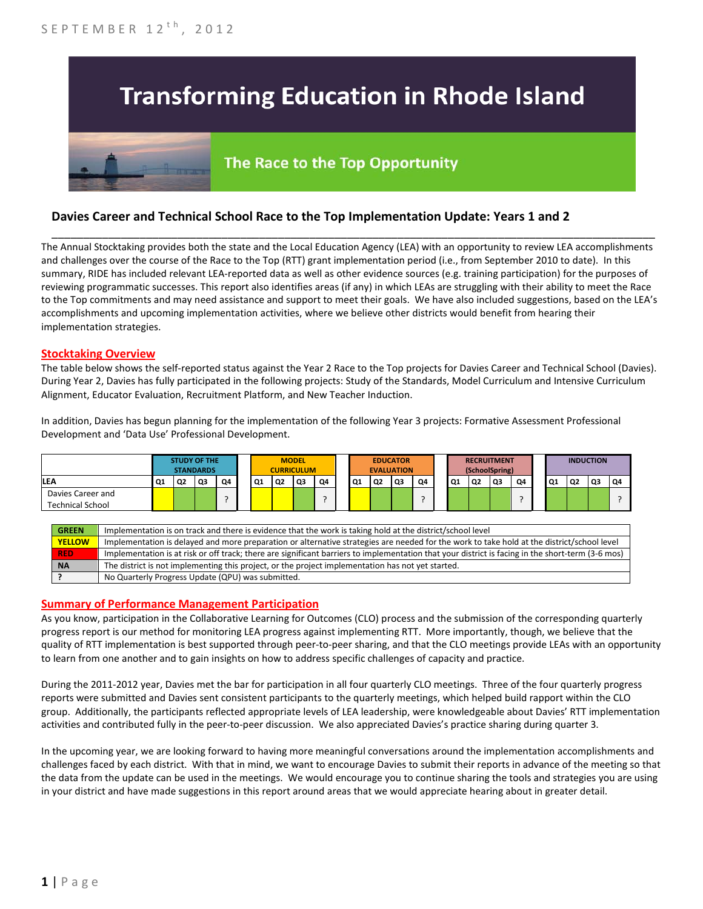# **Transforming Education in Rhode Island**

## The Race to the Top Opportunity

### **Davies Career and Technical School Race to the Top Implementation Update: Years 1 and 2**

The Annual Stocktaking provides both the state and the Local Education Agency (LEA) with an opportunity to review LEA accomplishments and challenges over the course of the Race to the Top (RTT) grant implementation period (i.e., from September 2010 to date). In this summary, RIDE has included relevant LEA-reported data as well as other evidence sources (e.g. training participation) for the purposes of reviewing programmatic successes. This report also identifies areas (if any) in which LEAs are struggling with their ability to meet the Race to the Top commitments and may need assistance and support to meet their goals. We have also included suggestions, based on the LEA's accomplishments and upcoming implementation activities, where we believe other districts would benefit from hearing their implementation strategies.

\_\_\_\_\_\_\_\_\_\_\_\_\_\_\_\_\_\_\_\_\_\_\_\_\_\_\_\_\_\_\_\_\_\_\_\_\_\_\_\_\_\_\_\_\_\_\_\_\_\_\_\_\_\_\_\_\_\_\_\_\_\_\_\_\_\_\_\_\_\_\_\_\_\_\_\_\_\_\_\_\_\_\_\_\_\_\_\_\_\_\_\_\_\_\_\_

#### **Stocktaking Overview**

The table below shows the self-reported status against the Year 2 Race to the Top projects for Davies Career and Technical School (Davies). During Year 2, Davies has fully participated in the following projects: Study of the Standards, Model Curriculum and Intensive Curriculum Alignment, Educator Evaluation, Recruitment Platform, and New Teacher Induction.

In addition, Davies has begun planning for the implementation of the following Year 3 projects: Formative Assessment Professional Development and 'Data Use' Professional Development.

|                                              | <b>STUDY OF THE</b><br><b>STANDARDS</b> |    |    | <b>MODEL</b><br><b>CURRICULUM</b> |    |                |    | <b>EDUCATOR</b> | <b>EVALUATION</b> |                | <b>RECRUITMENT</b><br>(SchoolSpring) |    |  | <b>INDUCTION</b> |                |    |    |    |                |    |    |
|----------------------------------------------|-----------------------------------------|----|----|-----------------------------------|----|----------------|----|-----------------|-------------------|----------------|--------------------------------------|----|--|------------------|----------------|----|----|----|----------------|----|----|
| LEA                                          | Q <sub>1</sub>                          | Q2 | Q3 | Q4                                | Q1 | Q <sub>2</sub> | Q3 | Q4              | Q1                | Q <sub>2</sub> | Q3                                   | Q4 |  | Q1               | Q <sub>2</sub> | Q3 | O4 | Q1 | Q <sub>2</sub> | Q3 | Q4 |
| Davies Career and<br><b>Technical School</b> |                                         |    |    |                                   |    |                |    |                 |                   |                |                                      |    |  |                  |                |    |    |    |                |    |    |

| <b>GREEN</b>  | Implementation is on track and there is evidence that the work is taking hold at the district/school level                                        |
|---------------|---------------------------------------------------------------------------------------------------------------------------------------------------|
| <b>YELLOW</b> | Implementation is delayed and more preparation or alternative strategies are needed for the work to take hold at the district/school level        |
| <b>RED</b>    | Implementation is at risk or off track; there are significant barriers to implementation that your district is facing in the short-term (3-6 mos) |
| <b>NA</b>     | The district is not implementing this project, or the project implementation has not yet started.                                                 |
|               | No Quarterly Progress Update (QPU) was submitted.                                                                                                 |

#### **Summary of Performance Management Participation**

As you know, participation in the Collaborative Learning for Outcomes (CLO) process and the submission of the corresponding quarterly progress report is our method for monitoring LEA progress against implementing RTT. More importantly, though, we believe that the quality of RTT implementation is best supported through peer-to-peer sharing, and that the CLO meetings provide LEAs with an opportunity to learn from one another and to gain insights on how to address specific challenges of capacity and practice.

During the 2011-2012 year, Davies met the bar for participation in all four quarterly CLO meetings. Three of the four quarterly progress reports were submitted and Davies sent consistent participants to the quarterly meetings, which helped build rapport within the CLO group. Additionally, the participants reflected appropriate levels of LEA leadership, were knowledgeable about Davies' RTT implementation activities and contributed fully in the peer-to-peer discussion. We also appreciated Davies's practice sharing during quarter 3.

In the upcoming year, we are looking forward to having more meaningful conversations around the implementation accomplishments and challenges faced by each district. With that in mind, we want to encourage Davies to submit their reports in advance of the meeting so that the data from the update can be used in the meetings. We would encourage you to continue sharing the tools and strategies you are using in your district and have made suggestions in this report around areas that we would appreciate hearing about in greater detail.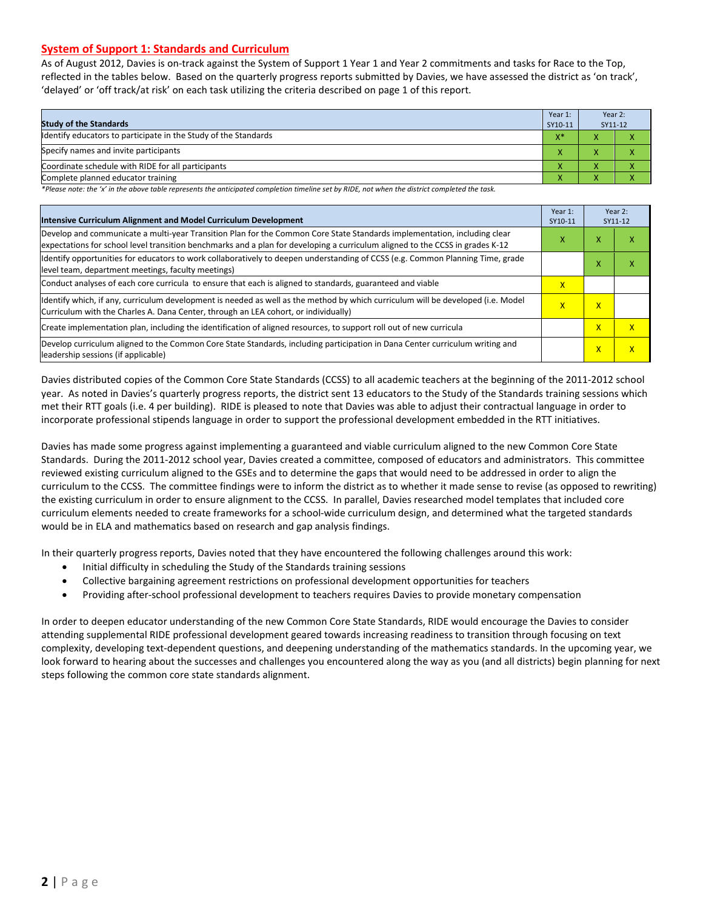#### **System of Support 1: Standards and Curriculum**

As of August 2012, Davies is on-track against the System of Support 1 Year 1 and Year 2 commitments and tasks for Race to the Top, reflected in the tables below. Based on the quarterly progress reports submitted by Davies, we have assessed the district as 'on track', 'delayed' or 'off track/at risk' on each task utilizing the criteria described on page 1 of this report.

| <b>Study of the Standards</b>                                   | Year 1:<br>SY10-11 | Year 2:<br>SY11-12 |  |
|-----------------------------------------------------------------|--------------------|--------------------|--|
| Identify educators to participate in the Study of the Standards | $X^*$              |                    |  |
| Specify names and invite participants                           |                    |                    |  |
| Coordinate schedule with RIDE for all participants              | ∧                  |                    |  |
| Complete planned educator training                              |                    |                    |  |

*\*Please note: the 'x' in the above table represents the anticipated completion timeline set by RIDE, not when the district completed the task.*

| Intensive Curriculum Alignment and Model Curriculum Development                                                                                                                                                                                           | Year 1:<br>SY10-11 |                         | Year 2:<br>SY11-12      |
|-----------------------------------------------------------------------------------------------------------------------------------------------------------------------------------------------------------------------------------------------------------|--------------------|-------------------------|-------------------------|
| Develop and communicate a multi-year Transition Plan for the Common Core State Standards implementation, including clear<br>expectations for school level transition benchmarks and a plan for developing a curriculum aligned to the CCSS in grades K-12 | x                  | x                       | ⋏                       |
| Identify opportunities for educators to work collaboratively to deepen understanding of CCSS (e.g. Common Planning Time, grade<br>level team, department meetings, faculty meetings)                                                                      |                    | x                       | x                       |
| Conduct analyses of each core curricula to ensure that each is aligned to standards, guaranteed and viable                                                                                                                                                | X                  |                         |                         |
| ldentify which, if any, curriculum development is needed as well as the method by which curriculum will be developed (i.e. Model<br>Curriculum with the Charles A. Dana Center, through an LEA cohort, or individually)                                   | X                  | $\mathsf{x}$            |                         |
| Create implementation plan, including the identification of aligned resources, to support roll out of new curricula                                                                                                                                       |                    | $\overline{\mathsf{x}}$ | $\mathsf{x}$            |
| Develop curriculum aligned to the Common Core State Standards, including participation in Dana Center curriculum writing and<br>leadership sessions (if applicable)                                                                                       |                    | $\overline{\mathsf{x}}$ | $\overline{\mathsf{x}}$ |

Davies distributed copies of the Common Core State Standards (CCSS) to all academic teachers at the beginning of the 2011-2012 school year. As noted in Davies's quarterly progress reports, the district sent 13 educators to the Study of the Standards training sessions which met their RTT goals (i.e. 4 per building). RIDE is pleased to note that Davies was able to adjust their contractual language in order to incorporate professional stipends language in order to support the professional development embedded in the RTT initiatives.

Davies has made some progress against implementing a guaranteed and viable curriculum aligned to the new Common Core State Standards. During the 2011-2012 school year, Davies created a committee, composed of educators and administrators. This committee reviewed existing curriculum aligned to the GSEs and to determine the gaps that would need to be addressed in order to align the curriculum to the CCSS. The committee findings were to inform the district as to whether it made sense to revise (as opposed to rewriting) the existing curriculum in order to ensure alignment to the CCSS. In parallel, Davies researched model templates that included core curriculum elements needed to create frameworks for a school-wide curriculum design, and determined what the targeted standards would be in ELA and mathematics based on research and gap analysis findings.

In their quarterly progress reports, Davies noted that they have encountered the following challenges around this work:

- Initial difficulty in scheduling the Study of the Standards training sessions
- Collective bargaining agreement restrictions on professional development opportunities for teachers
- Providing after-school professional development to teachers requires Davies to provide monetary compensation

In order to deepen educator understanding of the new Common Core State Standards, RIDE would encourage the Davies to consider attending supplemental RIDE professional development geared towards increasing readiness to transition through focusing on text complexity, developing text-dependent questions, and deepening understanding of the mathematics standards. In the upcoming year, we look forward to hearing about the successes and challenges you encountered along the way as you (and all districts) begin planning for next steps following the common core state standards alignment.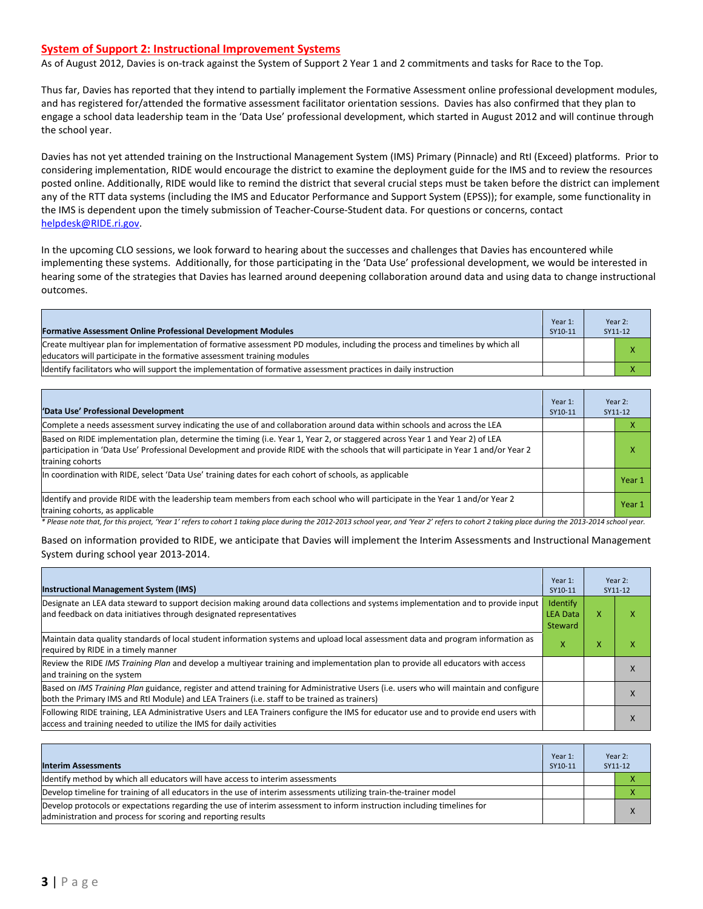#### **System of Support 2: Instructional Improvement Systems**

As of August 2012, Davies is on-track against the System of Support 2 Year 1 and 2 commitments and tasks for Race to the Top.

Thus far, Davies has reported that they intend to partially implement the Formative Assessment online professional development modules, and has registered for/attended the formative assessment facilitator orientation sessions. Davies has also confirmed that they plan to engage a school data leadership team in the 'Data Use' professional development, which started in August 2012 and will continue through the school year.

Davies has not yet attended training on the Instructional Management System (IMS) Primary (Pinnacle) and RtI (Exceed) platforms. Prior to considering implementation, RIDE would encourage the district to examine the deployment guide for the IMS and to review the resources posted online. Additionally, RIDE would like to remind the district that several crucial steps must be taken before the district can implement any of the RTT data systems (including the IMS and Educator Performance and Support System (EPSS)); for example, some functionality in the IMS is dependent upon the timely submission of Teacher-Course-Student data. For questions or concerns, contact [helpdesk@RIDE.ri.gov.](mailto:helpdesk@RIDE.ri.gov)

In the upcoming CLO sessions, we look forward to hearing about the successes and challenges that Davies has encountered while implementing these systems. Additionally, for those participating in the 'Data Use' professional development, we would be interested in hearing some of the strategies that Davies has learned around deepening collaboration around data and using data to change instructional outcomes.

| <b>Formative Assessment Online Professional Development Modules</b>                                                                                                                                      | Year 1:<br>SY10-11 | Year 2:<br>SY11-12 |
|----------------------------------------------------------------------------------------------------------------------------------------------------------------------------------------------------------|--------------------|--------------------|
| Create multiyear plan for implementation of formative assessment PD modules, including the process and timelines by which all<br>educators will participate in the formative assessment training modules |                    |                    |
| ldentify facilitators who will support the implementation of formative assessment practices in daily instruction                                                                                         |                    |                    |

| 'Data Use' Professional Development                                                                                                                                                                                                                                                     | Year 1:<br>SY10-11 | Year 2:<br>SY11-12 |
|-----------------------------------------------------------------------------------------------------------------------------------------------------------------------------------------------------------------------------------------------------------------------------------------|--------------------|--------------------|
| Complete a needs assessment survey indicating the use of and collaboration around data within schools and across the LEA                                                                                                                                                                |                    |                    |
| Based on RIDE implementation plan, determine the timing (i.e. Year 1, Year 2, or staggered across Year 1 and Year 2) of LEA<br>participation in 'Data Use' Professional Development and provide RIDE with the schools that will participate in Year 1 and/or Year 2<br>training cohorts |                    |                    |
| In coordination with RIDE, select 'Data Use' training dates for each cohort of schools, as applicable                                                                                                                                                                                   |                    | Year 1             |
| Identify and provide RIDE with the leadership team members from each school who will participate in the Year 1 and/or Year 2<br>training cohorts, as applicable                                                                                                                         |                    | Year 1             |

*\* Please note that, for this project, 'Year 1' refers to cohort 1 taking place during the 2012-2013 school year, and 'Year 2' refers to cohort 2 taking place during the 2013-2014 school year.*

Based on information provided to RIDE, we anticipate that Davies will implement the Interim Assessments and Instructional Management System during school year 2013-2014.

| <b>Instructional Management System (IMS)</b>                                                                                                                                                                                           | Year 1:<br>SY10-11                     |                   | Year 2:<br>SY11-12 |
|----------------------------------------------------------------------------------------------------------------------------------------------------------------------------------------------------------------------------------------|----------------------------------------|-------------------|--------------------|
| Designate an LEA data steward to support decision making around data collections and systems implementation and to provide input<br>and feedback on data initiatives through designated representatives                                | Identify<br><b>LEA Data</b><br>Steward | x                 |                    |
| Maintain data quality standards of local student information systems and upload local assessment data and program information as<br>required by RIDE in a timely manner                                                                | x                                      | $\checkmark$<br>л | ́                  |
| Review the RIDE IMS Training Plan and develop a multivear training and implementation plan to provide all educators with access<br>and training on the system                                                                          |                                        |                   | $\Lambda$          |
| Based on IMS Training Plan guidance, register and attend training for Administrative Users (i.e. users who will maintain and configure<br>both the Primary IMS and RtI Module) and LEA Trainers (i.e. staff to be trained as trainers) |                                        |                   | $\lambda$          |
| Following RIDE training, LEA Administrative Users and LEA Trainers configure the IMS for educator use and to provide end users with<br>access and training needed to utilize the IMS for daily activities                              |                                        |                   | $\lambda$          |

| <b>Interim Assessments</b>                                                                                                                                                              | Year 1:<br>SY10-11 | Year 2:<br>SY11-12 |  |
|-----------------------------------------------------------------------------------------------------------------------------------------------------------------------------------------|--------------------|--------------------|--|
| Identify method by which all educators will have access to interim assessments                                                                                                          |                    |                    |  |
| Develop timeline for training of all educators in the use of interim assessments utilizing train-the-trainer model                                                                      |                    |                    |  |
| Develop protocols or expectations regarding the use of interim assessment to inform instruction including timelines for<br>administration and process for scoring and reporting results |                    |                    |  |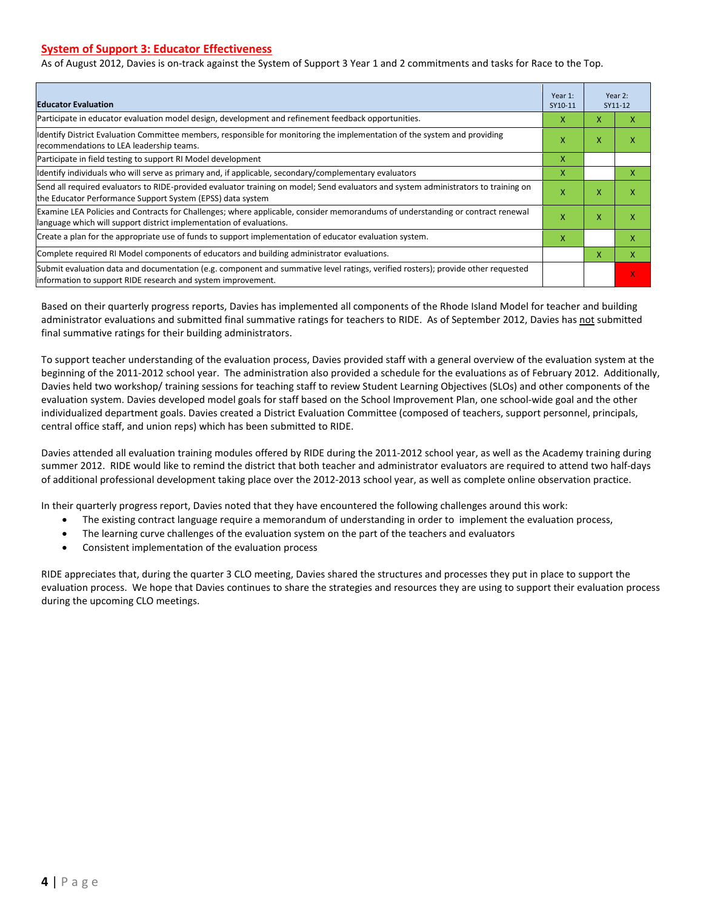#### **System of Support 3: Educator Effectiveness**

As of August 2012, Davies is on-track against the System of Support 3 Year 1 and 2 commitments and tasks for Race to the Top.

| <b>Educator Evaluation</b>                                                                                                                                                                            | Year 1:<br>SY10-11 |   | Year 2:<br>SY11-12 |
|-------------------------------------------------------------------------------------------------------------------------------------------------------------------------------------------------------|--------------------|---|--------------------|
| Participate in educator evaluation model design, development and refinement feedback opportunities.                                                                                                   | x                  | X | x                  |
| Identify District Evaluation Committee members, responsible for monitoring the implementation of the system and providing<br>recommendations to LEA leadership teams.                                 | x                  | X | X                  |
| Participate in field testing to support RI Model development                                                                                                                                          | X                  |   |                    |
| ldentify individuals who will serve as primary and, if applicable, secondary/complementary evaluators                                                                                                 | X                  |   | x                  |
| Send all required evaluators to RIDE-provided evaluator training on model; Send evaluators and system administrators to training on<br>the Educator Performance Support System (EPSS) data system     | X                  | X | X                  |
| Examine LEA Policies and Contracts for Challenges; where applicable, consider memorandums of understanding or contract renewal<br>language which will support district implementation of evaluations. | X                  | X | X                  |
| Create a plan for the appropriate use of funds to support implementation of educator evaluation system.                                                                                               | x                  |   | x                  |
| Complete required RI Model components of educators and building administrator evaluations.                                                                                                            |                    | x | x                  |
| Submit evaluation data and documentation (e.g. component and summative level ratings, verified rosters); provide other requested<br>information to support RIDE research and system improvement.      |                    |   | V.                 |

Based on their quarterly progress reports, Davies has implemented all components of the Rhode Island Model for teacher and building administrator evaluations and submitted final summative ratings for teachers to RIDE. As of September 2012, Davies has not submitted final summative ratings for their building administrators.

To support teacher understanding of the evaluation process, Davies provided staff with a general overview of the evaluation system at the beginning of the 2011-2012 school year. The administration also provided a schedule for the evaluations as of February 2012. Additionally, Davies held two workshop/ training sessions for teaching staff to review Student Learning Objectives (SLOs) and other components of the evaluation system. Davies developed model goals for staff based on the School Improvement Plan, one school-wide goal and the other individualized department goals. Davies created a District Evaluation Committee (composed of teachers, support personnel, principals, central office staff, and union reps) which has been submitted to RIDE.

Davies attended all evaluation training modules offered by RIDE during the 2011-2012 school year, as well as the Academy training during summer 2012. RIDE would like to remind the district that both teacher and administrator evaluators are required to attend two half-days of additional professional development taking place over the 2012-2013 school year, as well as complete online observation practice.

In their quarterly progress report, Davies noted that they have encountered the following challenges around this work:

- The existing contract language require a memorandum of understanding in order to implement the evaluation process,
- The learning curve challenges of the evaluation system on the part of the teachers and evaluators
- Consistent implementation of the evaluation process

RIDE appreciates that, during the quarter 3 CLO meeting, Davies shared the structures and processes they put in place to support the evaluation process. We hope that Davies continues to share the strategies and resources they are using to support their evaluation process during the upcoming CLO meetings.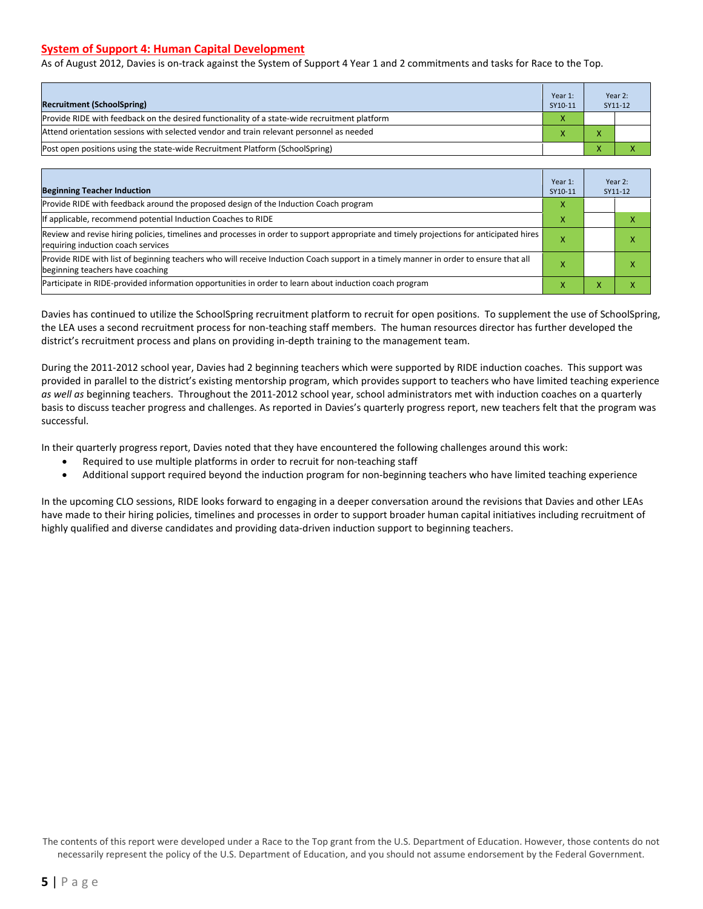#### **System of Support 4: Human Capital Development**

As of August 2012, Davies is on-track against the System of Support 4 Year 1 and 2 commitments and tasks for Race to the Top.

| <b>Recruitment (SchoolSpring)</b>                                                            | Year 1:<br>SY10-11 | Year 2:<br>SY11-12 |
|----------------------------------------------------------------------------------------------|--------------------|--------------------|
| Provide RIDE with feedback on the desired functionality of a state-wide recruitment platform | X                  |                    |
| Attend orientation sessions with selected vendor and train relevant personnel as needed      |                    |                    |
| Post open positions using the state-wide Recruitment Platform (SchoolSpring)                 |                    |                    |

| <b>Beginning Teacher Induction</b>                                                                                                                                            | Year 1:<br>SY10-11 | Year 2:<br>SY11-12 |
|-------------------------------------------------------------------------------------------------------------------------------------------------------------------------------|--------------------|--------------------|
| Provide RIDE with feedback around the proposed design of the Induction Coach program                                                                                          | x                  |                    |
| If applicable, recommend potential Induction Coaches to RIDE                                                                                                                  | x                  |                    |
| Review and revise hiring policies, timelines and processes in order to support appropriate and timely projections for anticipated hires<br>requiring induction coach services |                    |                    |
| Provide RIDE with list of beginning teachers who will receive Induction Coach support in a timely manner in order to ensure that all<br>beginning teachers have coaching      |                    |                    |
| Participate in RIDE-provided information opportunities in order to learn about induction coach program                                                                        |                    |                    |

Davies has continued to utilize the SchoolSpring recruitment platform to recruit for open positions. To supplement the use of SchoolSpring, the LEA uses a second recruitment process for non-teaching staff members. The human resources director has further developed the district's recruitment process and plans on providing in-depth training to the management team.

During the 2011-2012 school year, Davies had 2 beginning teachers which were supported by RIDE induction coaches. This support was provided in parallel to the district's existing mentorship program, which provides support to teachers who have limited teaching experience *as well as* beginning teachers. Throughout the 2011-2012 school year, school administrators met with induction coaches on a quarterly basis to discuss teacher progress and challenges. As reported in Davies's quarterly progress report, new teachers felt that the program was successful.

In their quarterly progress report, Davies noted that they have encountered the following challenges around this work:

- Required to use multiple platforms in order to recruit for non-teaching staff
- Additional support required beyond the induction program for non-beginning teachers who have limited teaching experience

In the upcoming CLO sessions, RIDE looks forward to engaging in a deeper conversation around the revisions that Davies and other LEAs have made to their hiring policies, timelines and processes in order to support broader human capital initiatives including recruitment of highly qualified and diverse candidates and providing data-driven induction support to beginning teachers.

The contents of this report were developed under a Race to the Top grant from the U.S. Department of Education. However, those contents do not necessarily represent the policy of the U.S. Department of Education, and you should not assume endorsement by the Federal Government.